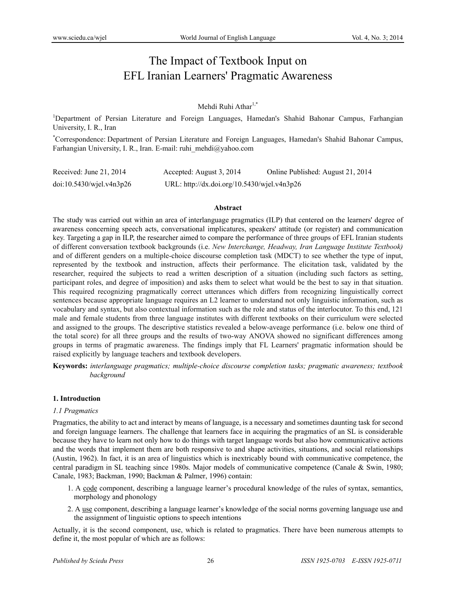# The Impact of Textbook Input on EFL Iranian Learners' Pragmatic Awareness

# Mehdi Ruhi Athar<sup>1,\*</sup>

<sup>1</sup>Department of Persian Literature and Foreign Languages, Hamedan's Shahid Bahonar Campus, Farhangian University, I. R., Iran

\* Correspondence: Department of Persian Literature and Foreign Languages, Hamedan's Shahid Bahonar Campus, Farhangian University, I. R., Iran. E-mail: ruhi\_mehdi@yahoo.com

| Received: June 21, $2014$   | Accepted: August 3, 2014                    | Online Published: August 21, 2014 |
|-----------------------------|---------------------------------------------|-----------------------------------|
| $doi:10.5430/w$ jel.v4n3p26 | URL: http://dx.doi.org/10.5430/wjel.v4n3p26 |                                   |

#### **Abstract**

The study was carried out within an area of interlanguage pragmatics (ILP) that centered on the learners' degree of awareness concerning speech acts, conversational implicatures, speakers' attitude (or register) and communication key. Targeting a gap in ILP, the researcher aimed to compare the performance of three groups of EFL Iranian students of different conversation textbook backgrounds (i.e. *New Interchange, Headway, Iran Language Institute Textbook)*  and of different genders on a multiple-choice discourse completion task (MDCT) to see whether the type of input, represented by the textbook and instruction, affects their performance. The elicitation task, validated by the researcher, required the subjects to read a written description of a situation (including such factors as setting, participant roles, and degree of imposition) and asks them to select what would be the best to say in that situation. This required recognizing pragmatically correct utterances which differs from recognizing linguistically correct sentences because appropriate language requires an L2 learner to understand not only linguistic information, such as vocabulary and syntax, but also contextual information such as the role and status of the interlocutor. To this end, 121 male and female students from three language institutes with different textbooks on their curriculum were selected and assigned to the groups. The descriptive statistics revealed a below-aveage performance (i.e. below one third of the total score) for all three groups and the results of two-way ANOVA showed no significant differences among groups in terms of pragmatic awareness. The findings imply that FL Learners' pragmatic information should be raised explicitly by language teachers and textbook developers.

**Keywords:** *interlanguage pragmatics; multiple-choice discourse completion tasks; pragmatic awareness; textbook background*

## **1. Introduction**

#### *1.1 Pragmatics*

Pragmatics, the ability to act and interact by means of language, is a necessary and sometimes daunting task for second and foreign language learners. The challenge that learners face in acquiring the pragmatics of an SL is considerable because they have to learn not only how to do things with target language words but also how communicative actions and the words that implement them are both responsive to and shape activities, situations, and social relationships (Austin, 1962). In fact, it is an area of linguistics which is inextricably bound with communicative competence, the central paradigm in SL teaching since 1980s. Major models of communicative competence (Canale & Swin, 1980; Canale, 1983; Backman, 1990; Backman & Palmer, 1996) contain:

- 1. A code component, describing a language learner's procedural knowledge of the rules of syntax, semantics, morphology and phonology
- 2. A use component, describing a language learner's knowledge of the social norms governing language use and the assignment of linguistic options to speech intentions

Actually, it is the second component, use, which is related to pragmatics. There have been numerous attempts to define it, the most popular of which are as follows: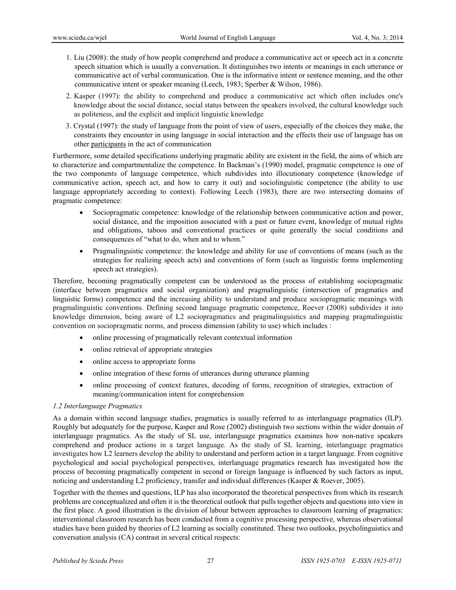- 1. Liu (2008): the study of how people comprehend and produce a communicative act or speech act in a concrete speech situation which is usually a conversation. It distinguishes two intents or meanings in each utterance or communicative act of verbal communication. One is the informative intent or sentence meaning, and the other communicative intent or speaker meaning (Leech, 1983; Sperber & Wilson, 1986).
- 2. Kasper (1997): the ability to comprehend and produce a communicative act which often includes one's knowledge about the social distance, social status between the speakers involved, the cultural knowledge such as politeness, and the explicit and implicit linguistic knowledge
- 3. Crystal (1997): the study of language from the point of view of users, especially of the choices they make, the constraints they encounter in using language in social interaction and the effects their use of language has on other participants in the act of communication

Furthermore, some detailed specifications underlying pragmatic ability are existent in the field, the aims of which are to characterize and compartmentalize the competence. In Backman's (1990) model, pragmatic competence is one of the two components of language competence, which subdivides into illocutionary competence (knowledge of communicative action, speech act, and how to carry it out) and sociolinguistic competence (the ability to use language appropriately according to context). Following Leech (1983), there are two intersecting domains of pragmatic competence:

- Sociopragmatic competence: knowledge of the relationship between communicative action and power, social distance, and the imposition associated with a past or future event, knowledge of mutual rights and obligations, taboos and conventional practices or quite generally the social conditions and consequences of "what to do, when and to whom."
- Pragmalinguistic competence: the knowledge and ability for use of conventions of means (such as the strategies for realizing speech acts) and conventions of form (such as linguistic forms implementing speech act strategies).

Therefore, becoming pragmatically competent can be understood as the process of establishing sociopragmatic (interface between pragmatics and social organization) and pragmalinguistic (intersection of pragmatics and linguistic forms) competence and the increasing ability to understand and produce sociopragmatic meanings with pragmalinguistic conventions. Defining second language pragmatic competence, Roever (2008) subdivides it into knowledge dimension, being aware of L2 sociopragmatics and pragmalinguistics and mapping pragmalinguistic convention on sociopragmatic norms, and process dimension (ability to use) which includes :

- online processing of pragmatically relevant contextual information
- online retrieval of appropriate strategies
- online access to appropriate forms
- online integration of these forms of utterances during utterance planning
- online processing of context features, decoding of forms, recognition of strategies, extraction of meaning/communication intent for comprehension

## *1.2 Interlanguage Pragmatics*

As a domain within second language studies, pragmatics is usually referred to as interlanguage pragmatics (ILP). Roughly but adequately for the purpose, Kasper and Rose (2002) distinguish two sections within the wider domain of interlanguage pragmatics. As the study of SL use, interlanguage pragmatics examines how non-native speakers comprehend and produce actions in a target language. As the study of SL learning, interlanguage pragmatics investigates how L2 learners develop the ability to understand and perform action in a target language. From cognitive psychological and social psychological perspectives, interlanguage pragmatics research has investigated how the process of becoming pragmatically competent in second or foreign language is influenced by such factors as input, noticing and understanding L2 proficiency, transfer and individual differences (Kasper & Roever, 2005).

Together with the themes and questions, ILP has also incorporated the theoretical perspectives from which its research problems are conceptualized and often it is the theoretical outlook that pulls together objects and questions into view in the first place. A good illustration is the division of labour between approaches to classroom learning of pragmatics: interventional classroom research has been conducted from a cognitive processing perspective, whereas observational studies have been guided by theories of L2 learning as socially constituted. These two outlooks, psycholinguistics and conversation analysis (CA) contrast in several critical respects: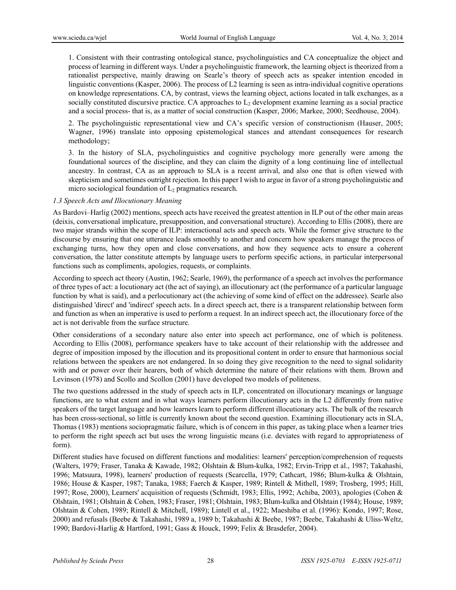1. Consistent with their contrasting ontological stance, psycholinguistics and CA conceptualize the object and process of learning in different ways. Under a psycholinguistic framework, the learning object is theorized from a rationalist perspective, mainly drawing on Searle's theory of speech acts as speaker intention encoded in linguistic conventions (Kasper, 2006). The process of L2 learning is seen as intra-individual cognitive operations on knowledge representations. CA, by contrast, views the learning object, actions located in talk exchanges, as a socially constituted discursive practice. CA approaches to  $L<sub>2</sub>$  development examine learning as a social practice and a social process- that is, as a matter of social construction (Kasper, 2006; Markee, 2000; Seedhouse, 2004).

2. The psycholinguistic representational view and CA's specific version of constructionism (Hauser, 2005; Wagner, 1996) translate into opposing epistemological stances and attendant consequences for research methodology;

3. In the history of SLA, psycholinguistics and cognitive psychology more generally were among the foundational sources of the discipline, and they can claim the dignity of a long continuing line of intellectual ancestry. In contrast, CA as an approach to SLA is a recent arrival, and also one that is often viewed with skepticism and sometimes outright rejection. In this paper I wish to argue in favor of a strong psycholinguistic and micro sociological foundation of  $L_2$  pragmatics research.

#### *1.3 Speech Acts and Illocutionary Meaning*

As Bardovi–Harlig (2002) mentions, speech acts have received the greatest attention in ILP out of the other main areas (deixis, conversational implicature, presupposition, and conversational structure). According to Ellis (2008), there are two major strands within the scope of ILP: interactional acts and speech acts. While the former give structure to the discourse by ensuring that one utterance leads smoothly to another and concern how speakers manage the process of exchanging turns, how they open and close conversations, and how they sequence acts to ensure a coherent conversation, the latter constitute attempts by language users to perform specific actions, in particular interpersonal functions such as compliments, apologies, requests, or complaints.

According to speech act theory (Austin, 1962; Searle, 1969), the performance of a speech act involves the performance of three types of act: a locutionary act (the act of saying), an illocutionary act (the performance of a particular language function by what is said), and a perlocutionary act (the achieving of some kind of effect on the addressee). Searle also distinguished 'direct' and 'indirect' speech acts. In a direct speech act, there is a transparent relationship between form and function as when an imperative is used to perform a request. In an indirect speech act, the illocutionary force of the act is not derivable from the surface structure.

Other considerations of a secondary nature also enter into speech act performance, one of which is politeness. According to Ellis (2008), performance speakers have to take account of their relationship with the addressee and degree of imposition imposed by the illocution and its propositional content in order to ensure that harmonious social relations between the speakers are not endangered. In so doing they give recognition to the need to signal solidarity with and or power over their hearers, both of which determine the nature of their relations with them. Brown and Levinson (1978) and Scollo and Scollon (2001) have developed two models of politeness.

The two questions addressed in the study of speech acts in ILP, concentrated on illocutionary meanings or language functions, are to what extent and in what ways learners perform illocutionary acts in the L2 differently from native speakers of the target language and how learners learn to perform different illocutionary acts. The bulk of the research has been cross-sectional, so little is currently known about the second question. Examining illocutionary acts in SLA, Thomas (1983) mentions sociopragmatic failure, which is of concern in this paper, as taking place when a learner tries to perform the right speech act but uses the wrong linguistic means (i.e. deviates with regard to appropriateness of form).

Different studies have focused on different functions and modalities: learners' perception/comprehension of requests (Walters, 1979; Fraser, Tanaka & Kawade, 1982; Olshtain & Blum-kulka, 1982; Ervin-Tripp et al., 1987; Takahashi, 1996; Matsuura, 1998), learners' production of requests (Scarcella, 1979; Cathcart, 1986; Blum-kulka & Olshtain, 1986; House & Kasper, 1987; Tanaka, 1988; Faerch & Kasper, 1989; Rintell & Mithell, 1989; Trosberg, 1995; Hill, 1997; Rose, 2000), Learners' acquisition of requests (Schmidt, 1983; Ellis, 1992; Achiba, 2003), apologies (Cohen & Olshtain, 1981; Olshtain & Cohen, 1983; Fraser, 1981; Olshtain, 1983; Blum-kulka and Olshtain (1984); House, 1989; Olshtain & Cohen, 1989; Rintell & Mitchell, 1989); Lintell et al., 1922; Maeshiba et al. (1996): Kondo, 1997; Rose, 2000) and refusals (Beebe & Takahashi, 1989 a, 1989 b; Takahashi & Beebe, 1987; Beebe, Takahashi & Uliss-Weltz, 1990; Bardovi-Harlig & Hartford, 1991; Gass & Houck, 1999; Felix & Brasdefer, 2004).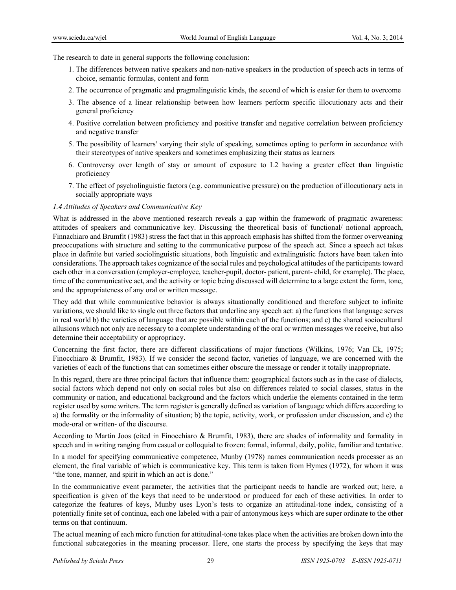The research to date in general supports the following conclusion:

- 1. The differences between native speakers and non-native speakers in the production of speech acts in terms of choice, semantic formulas, content and form
- 2. The occurrence of pragmatic and pragmalinguistic kinds, the second of which is easier for them to overcome
- 3. The absence of a linear relationship between how learners perform specific illocutionary acts and their general proficiency
- 4. Positive correlation between proficiency and positive transfer and negative correlation between proficiency and negative transfer
- 5. The possibility of learners' varying their style of speaking, sometimes opting to perform in accordance with their stereotypes of native speakers and sometimes emphasizing their status as learners
- 6. Controversy over length of stay or amount of exposure to L2 having a greater effect than linguistic proficiency
- 7. The effect of psycholinguistic factors (e.g. communicative pressure) on the production of illocutionary acts in socially appropriate ways

## *1.4 Attitudes of Speakers and Communicative Key*

What is addressed in the above mentioned research reveals a gap within the framework of pragmatic awareness: attitudes of speakers and communicative key. Discussing the theoretical basis of functional/ notional approach, Finnachiaro and Brumfit (1983) stress the fact that in this approach emphasis has shifted from the former overweaning preoccupations with structure and setting to the communicative purpose of the speech act. Since a speech act takes place in definite but varied sociolinguistic situations, both linguistic and extralinguistic factors have been taken into considerations. The approach takes cognizance of the social rules and psychological attitudes of the participants toward each other in a conversation (employer-employee, teacher-pupil, doctor- patient, parent- child, for example). The place, time of the communicative act, and the activity or topic being discussed will determine to a large extent the form, tone, and the appropriateness of any oral or written message.

They add that while communicative behavior is always situationally conditioned and therefore subject to infinite variations, we should like to single out three factors that underline any speech act: a) the functions that language serves in real world b) the varieties of language that are possible within each of the functions; and c) the shared sociocultural allusions which not only are necessary to a complete understanding of the oral or written messages we receive, but also determine their acceptability or appropriacy.

Concerning the first factor, there are different classifications of major functions (Wilkins, 1976; Van Ek, 1975; Finocchiaro & Brumfit, 1983). If we consider the second factor, varieties of language, we are concerned with the varieties of each of the functions that can sometimes either obscure the message or render it totally inappropriate.

In this regard, there are three principal factors that influence them: geographical factors such as in the case of dialects, social factors which depend not only on social roles but also on differences related to social classes, status in the community or nation, and educational background and the factors which underlie the elements contained in the term register used by some writers. The term register is generally defined as variation of language which differs according to a) the formality or the informality of situation; b) the topic, activity, work, or profession under discussion, and c) the mode-oral or written- of the discourse.

According to Martin Joos (cited in Finocchiaro & Brumfit, 1983), there are shades of informality and formality in speech and in writing ranging from casual or colloquial to frozen: formal, informal, daily, polite, familiar and tentative.

In a model for specifying communicative competence, Munby (1978) names communication needs processer as an element, the final variable of which is communicative key. This term is taken from Hymes (1972), for whom it was "the tone, manner, and spirit in which an act is done."

In the communicative event parameter, the activities that the participant needs to handle are worked out; here, a specification is given of the keys that need to be understood or produced for each of these activities. In order to categorize the features of keys, Munby uses Lyon's tests to organize an attitudinal-tone index, consisting of a potentially finite set of continua, each one labeled with a pair of antonymous keys which are super ordinate to the other terms on that continuum.

The actual meaning of each micro function for attitudinal-tone takes place when the activities are broken down into the functional subcategories in the meaning processor. Here, one starts the process by specifying the keys that may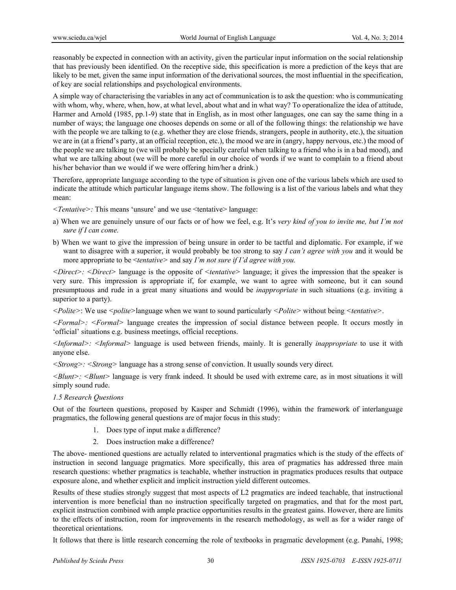reasonably be expected in connection with an activity, given the particular input information on the social relationship that has previously been identified. On the receptive side, this specification is more a prediction of the keys that are likely to be met, given the same input information of the derivational sources, the most influential in the specification, of key are social relationships and psychological environments.

A simple way of characterising the variables in any act of communication is to ask the question: who is communicating with whom, why, where, when, how, at what level, about what and in what way? To operationalize the idea of attitude, Harmer and Arnold (1985, pp.1-9) state that in English, as in most other languages, one can say the same thing in a number of ways; the language one chooses depends on some or all of the following things: the relationship we have with the people we are talking to (e.g. whether they are close friends, strangers, people in authority, etc.), the situation we are in (at a friend's party, at an official reception, etc.), the mood we are in (angry, happy nervous, etc.) the mood of the people we are talking to (we will probably be specially careful when talking to a friend who is in a bad mood), and what we are talking about (we will be more careful in our choice of words if we want to complain to a friend about his/her behavior than we would if we were offering him/her a drink.)

Therefore, appropriate language according to the type of situation is given one of the various labels which are used to indicate the attitude which particular language items show. The following is a list of the various labels and what they mean:

*<Tentative>:* This means 'unsure' and we use <tentative> language:

- a) When we are genuinely unsure of our facts or of how we feel, e.g. It's *very kind of you to invite me, but I'm not sure if I can come.*
- b) When we want to give the impression of being unsure in order to be tactful and diplomatic. For example, if we want to disagree with a superior, it would probably be too strong to say *I can't agree with you* and it would be more appropriate to be <*tentative>* and say *I'm not sure if I'd agree with you.*

*<Direct>: <Direct>* language is the opposite of *<tentative>* language; it gives the impression that the speaker is very sure. This impression is appropriate if, for example, we want to agree with someone, but it can sound presumptuous and rude in a great many situations and would be *inappropriate* in such situations (e.g. inviting a superior to a party).

*<Polite>*: We use *<polite>*language when we want to sound particularly *<Polite>* without being *<tentative>*.

*<Formal>: <Formal>* language creates the impression of social distance between people. It occurs mostly in 'official' situations e.g. business meetings, official receptions.

*<Informal>: <Informal>* language is used between friends, mainly. It is generally *inappropriate* to use it with anyone else.

*<Strong>: <Strong>* language has a strong sense of conviction. It usually sounds very direct.

*<Blunt>: <Blunt>* language is very frank indeed. It should be used with extreme care, as in most situations it will simply sound rude.

## *1.5 Research Questions*

Out of the fourteen questions, proposed by Kasper and Schmidt (1996), within the framework of interlanguage pragmatics, the following general questions are of major focus in this study:

- 1. Does type of input make a difference?
- 2. Does instruction make a difference?

The above- mentioned questions are actually related to interventional pragmatics which is the study of the effects of instruction in second language pragmatics. More specifically, this area of pragmatics has addressed three main research questions: whether pragmatics is teachable, whether instruction in pragmatics produces results that outpace exposure alone, and whether explicit and implicit instruction yield different outcomes.

Results of these studies strongly suggest that most aspects of L2 pragmatics are indeed teachable, that instructional intervention is more beneficial than no instruction specifically targeted on pragmatics, and that for the most part, explicit instruction combined with ample practice opportunities results in the greatest gains. However, there are limits to the effects of instruction, room for improvements in the research methodology, as well as for a wider range of theoretical orientations.

It follows that there is little research concerning the role of textbooks in pragmatic development (e.g. Panahi, 1998;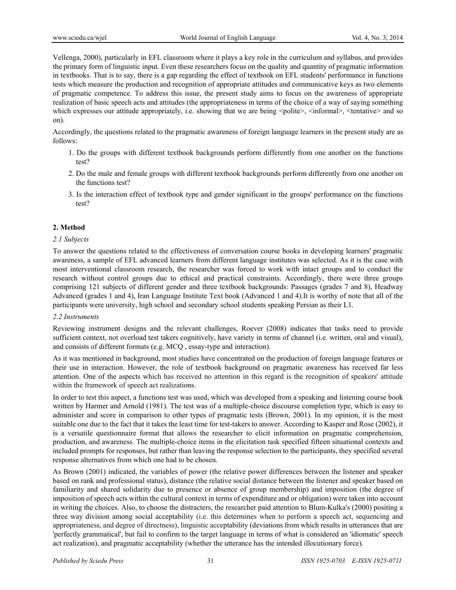Vellenga, 2000), particularly in EFL classroom where it plays a key role in the curriculum and syllabus, and provides the primary form of linguistic input. Even these researchers focus on the quality and quantity of pragmatic information in textbooks. That is to say, there is a gap regarding the effect of textbook on EFL students' performance in functions tests which measure the production and recognition of appropriate attitudes and communicative keys as two elements of pragmatic competence. To address this issue, the present study aims to focus on the awareness of appropriate realization of basic speech acts and attitudes (the appropriateness in terms of the choice of a way of saying something which expresses our attitude appropriately, i.e. showing that we are being  $\leq$ polite $\geq$ ,  $\leq$ informal $\geq$ ,  $\leq$ tentative $\geq$  and so on).

Accordingly, the questions related to the pragmatic awareness of foreign language learners in the present study are as follows:

- 1. Do the groups with different textbook backgrounds perform differently from one another on the functions test?
- 2. Do the male and female groups with different textbook backgrounds perform differently from one another on the functions test?
- 3. Is the interaction effect of textbook type and gender significant in the groups' performance on the functions test?

## **2. Method**

## *2.1 Subjects*

To answer the questions related to the effectiveness of conversation course books in developing learners' pragmatic awareness, a sample of EFL advanced learners from different language institutes was selected. As it is the case with most interventional classroom research, the researcher was forced to work with intact groups and to conduct the research without control groups due to ethical and practical constraints. Accordingly, there were three groups comprising 121 subjects of different gender and three textbook backgrounds: Passages (grades 7 and 8), Headway Advanced (grades 1 and 4), Iran Language Institute Text book (Advanced 1 and 4).It is worthy of note that all of the participants were university, high school and secondary school students speaking Persian as their L1.

## *2.2 Instruments*

Reviewing instrument designs and the relevant challenges, Roever (2008) indicates that tasks need to provide sufficient context, not overload test takers cognitively, have variety in terms of channel (i.e. written, oral and visual), and consists of different formats (e.g. MCQ , essay-type and interaction).

As it was mentioned in background, most studies have concentrated on the production of foreign language features or their use in interaction. However, the role of textbook background on pragmatic awareness has received far less attention. One of the aspects which has received no attention in this regard is the recognition of speakers' attitude within the framework of speech act realizations.

In order to test this aspect, a functions test was used, which was developed from a speaking and listening course book written by Harmer and Arnold (1981). The test was of a multiple-choice discourse completion type, which is easy to administer and score in comparison to other types of pragmatic tests (Brown, 2001). In my opinion, it is the most suitable one due to the fact that it takes the least time for test-takers to answer. According to Kasper and Rose (2002), it is a versatile questionnaire format that allows the researcher to elicit information on pragmatic comprehension, production, and awareness. The multiple-choice items in the elicitation task specified fifteen situational contexts and included prompts for responses, but rather than leaving the response selection to the participants, they specified several response alternatives from which one had to be chosen.

As Brown (2001) indicated, the variables of power (the relative power differences between the listener and speaker based on rank and professional status), distance (the relative social distance between the listener and speaker based on familiarity and shared solidarity due to presence or absence of group membership) and imposition (the degree of imposition of speech acts within the cultural context in terms of expenditure and or obligation) were taken into account in writing the choices. Also, to choose the distracters, the researcher paid attention to Blum-Kulka's (2000) positing a three way division among social acceptability (i.e. this determines when to perform a speech act, sequencing and appropriateness, and degree of directness), linguistic acceptability (deviations from which results in utterances that are 'perfectly grammatical', but fail to confirm to the target language in terms of what is considered an 'idiomatic' speech act realization), and pragmatic acceptability (whether the utterance has the intended illocutionary force).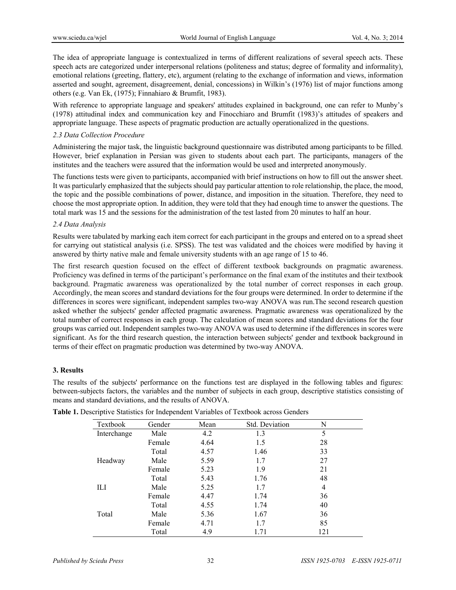The idea of appropriate language is contextualized in terms of different realizations of several speech acts. These speech acts are categorized under interpersonal relations (politeness and status; degree of formality and informality), emotional relations (greeting, flattery, etc), argument (relating to the exchange of information and views, information asserted and sought, agreement, disagreement, denial, concessions) in Wilkin's (1976) list of major functions among others (e.g. Van Ek, (1975); Finnahiaro & Brumfit, 1983).

With reference to appropriate language and speakers' attitudes explained in background, one can refer to Munby's (1978) attitudinal index and communication key and Finocchiaro and Brumfit (1983)'s attitudes of speakers and appropriate language. These aspects of pragmatic production are actually operationalized in the questions.

# *2.3 Data Collection Procedure*

Administering the major task, the linguistic background questionnaire was distributed among participants to be filled. However, brief explanation in Persian was given to students about each part. The participants, managers of the institutes and the teachers were assured that the information would be used and interpreted anonymously.

The functions tests were given to participants, accompanied with brief instructions on how to fill out the answer sheet. It was particularly emphasized that the subjects should pay particular attention to role relationship, the place, the mood, the topic and the possible combinations of power, distance, and imposition in the situation. Therefore, they need to choose the most appropriate option. In addition, they were told that they had enough time to answer the questions. The total mark was 15 and the sessions for the administration of the test lasted from 20 minutes to half an hour.

## *2.4 Data Analysis*

Results were tabulated by marking each item correct for each participant in the groups and entered on to a spread sheet for carrying out statistical analysis (i.e. SPSS). The test was validated and the choices were modified by having it answered by thirty native male and female university students with an age range of 15 to 46.

The first research question focused on the effect of different textbook backgrounds on pragmatic awareness. Proficiency was defined in terms of the participant's performance on the final exam of the institutes and their textbook background. Pragmatic awareness was operationalized by the total number of correct responses in each group. Accordingly, the mean scores and standard deviations for the four groups were determined. In order to determine if the differences in scores were significant, independent samples two-way ANOVA was run.The second research question asked whether the subjects' gender affected pragmatic awareness. Pragmatic awareness was operationalized by the total number of correct responses in each group. The calculation of mean scores and standard deviations for the four groups was carried out. Independent samples two-way ANOVA was used to determine if the differences in scores were significant. As for the third research question, the interaction between subjects' gender and textbook background in terms of their effect on pragmatic production was determined by two-way ANOVA.

## **3. Results**

The results of the subjects' performance on the functions test are displayed in the following tables and figures: between-subjects factors, the variables and the number of subjects in each group, descriptive statistics consisting of means and standard deviations, and the results of ANOVA.

| Textbook    | Gender | Mean | Std. Deviation | N   |  |
|-------------|--------|------|----------------|-----|--|
| Interchange | Male   | 4.2  | 1.3            | 5   |  |
|             | Female | 4.64 | 1.5            | 28  |  |
|             | Total  | 4.57 | 1.46           | 33  |  |
| Headway     | Male   | 5.59 | 1.7            | 27  |  |
|             | Female | 5.23 | 1.9            | 21  |  |
|             | Total  | 5.43 | 1.76           | 48  |  |
| ΠЛ          | Male   | 5.25 | 1.7            | 4   |  |
|             | Female | 4.47 | 1.74           | 36  |  |
|             | Total  | 4.55 | 1.74           | 40  |  |
| Total       | Male   | 5.36 | 1.67           | 36  |  |
|             | Female | 4.71 | 1.7            | 85  |  |
|             | Total  | 4.9  | 1.71           | 121 |  |

**Table 1.** Descriptive Statistics for Independent Variables of Textbook across Genders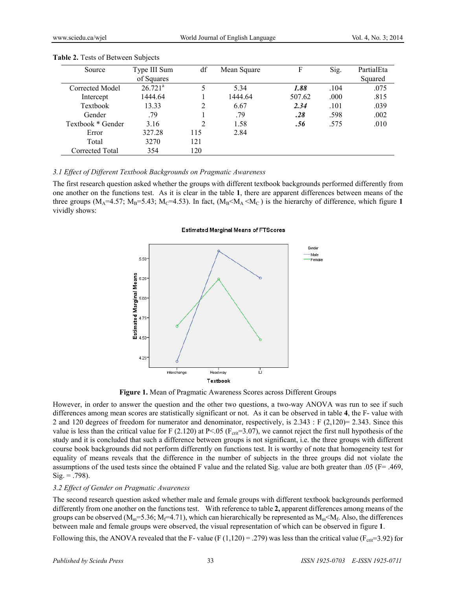| Source            | Type III Sum          | df  | Mean Square | F      | Sig. | PartialEta |
|-------------------|-----------------------|-----|-------------|--------|------|------------|
|                   | of Squares            |     |             |        |      | Squared    |
| Corrected Model   | $26.721$ <sup>a</sup> |     | 5.34        | 1.88   | .104 | .075       |
| Intercept         | 1444.64               |     | 1444.64     | 507.62 | .000 | .815       |
| Textbook          | 13.33                 | 2   | 6.67        | 2.34   | .101 | .039       |
| Gender            | .79                   |     | .79         | .28    | .598 | .002       |
| Textbook * Gender | 3.16                  | 2   | 1.58        | .56    | .575 | .010       |
| Error             | 327.28                | 115 | 2.84        |        |      |            |
| Total             | 3270                  | 121 |             |        |      |            |
| Corrected Total   | 354                   | 120 |             |        |      |            |

#### **Table 2.** Tests of Between Subjects

#### *3.1 Effect of Different Textbook Backgrounds on Pragmatic Awareness*

The first research question asked whether the groups with different textbook backgrounds performed differently from one another on the functions test. As it is clear in the table **1**, there are apparent differences between means of the three groups ( $M_A$ =4.57;  $M_B$ =5.43;  $M_C$ =4.53). In fact, ( $M_B$ < $M_A$  < $M_C$ ) is the hierarchy of difference, which figure 1 vividly shows:

#### **Estimated Marginal Means of FTScores**



**Figure 1.** Mean of Pragmatic Awareness Scores across Different Groups

However, in order to answer the question and the other two questions, a two-way ANOVA was run to see if such differences among mean scores are statistically significant or not. As it can be observed in table **4**, the F- value with 2 and 120 degrees of freedom for numerator and denominator, respectively, is 2.343 : F (2,120)= 2.343. Since this value is less than the critical value for F (2.120) at P<.05 ( $F_{\text{crit}}$ =3.07), we cannot reject the first null hypothesis of the study and it is concluded that such a difference between groups is not significant, i.e. the three groups with different course book backgrounds did not perform differently on functions test. It is worthy of note that homogeneity test for equality of means reveals that the difference in the number of subjects in the three groups did not violate the assumptions of the used tests since the obtained F value and the related Sig. value are both greater than .05 (F= .469,  $Sig. = .798$ ).

#### *3.2 Effect of Gender on Pragmatic Awareness*

The second research question asked whether male and female groups with different textbook backgrounds performed differently from one another on the functions test. With reference to table **2,** apparent differences among means of the groups can be observed ( $M_m=5.36$ ;  $M_f=4.71$ ), which can hierarchically be represented as  $M_m<sub>f</sub>$ . Also, the differences between male and female groups were observed, the visual representation of which can be observed in figure **1**.

Following this, the ANOVA revealed that the F- value (F (1,120) = .279) was less than the critical value ( $F_{\text{crit}}=3.92$ ) for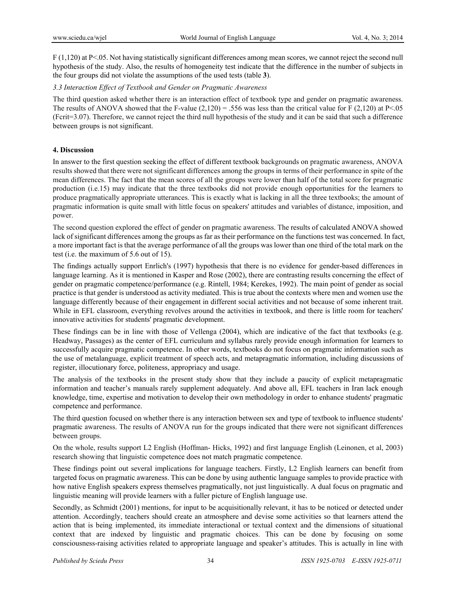F (1,120) at P<.05. Not having statistically significant differences among mean scores, we cannot reject the second null hypothesis of the study. Also, the results of homogeneity test indicate that the difference in the number of subjects in the four groups did not violate the assumptions of the used tests (table **3**).

# *3.3 Interaction Effect of Textbook and Gender on Pragmatic Awareness*

The third question asked whether there is an interaction effect of textbook type and gender on pragmatic awareness. The results of ANOVA showed that the F-value  $(2,120) = .556$  was less than the critical value for F (2,120) at P<.05 (Fcrit=3.07). Therefore, we cannot reject the third null hypothesis of the study and it can be said that such a difference between groups is not significant.

# **4. Discussion**

In answer to the first question seeking the effect of different textbook backgrounds on pragmatic awareness, ANOVA results showed that there were not significant differences among the groups in terms of their performance in spite of the mean differences. The fact that the mean scores of all the groups were lower than half of the total score for pragmatic production (i.e.15) may indicate that the three textbooks did not provide enough opportunities for the learners to produce pragmatically appropriate utterances. This is exactly what is lacking in all the three textbooks; the amount of pragmatic information is quite small with little focus on speakers' attitudes and variables of distance, imposition, and power.

The second question explored the effect of gender on pragmatic awareness. The results of calculated ANOVA showed lack of significant differences among the groups as far as their performance on the functions test was concerned. In fact, a more important fact is that the average performance of all the groups was lower than one third of the total mark on the test (i.e. the maximum of 5.6 out of 15).

The findings actually support Enrlich's (1997) hypothesis that there is no evidence for gender-based differences in language learning. As it is mentioned in Kasper and Rose (2002), there are contrasting results concerning the effect of gender on pragmatic competence/performance (e.g. Rintell, 1984; Kerekes, 1992). The main point of gender as social practice is that gender is understood as activity mediated. This is true about the contexts where men and women use the language differently because of their engagement in different social activities and not because of some inherent trait. While in EFL classroom, everything revolves around the activities in textbook, and there is little room for teachers' innovative activities for students' pragmatic development.

These findings can be in line with those of Vellenga (2004), which are indicative of the fact that textbooks (e.g. Headway, Passages) as the center of EFL curriculum and syllabus rarely provide enough information for learners to successfully acquire pragmatic competence. In other words, textbooks do not focus on pragmatic information such as the use of metalanguage, explicit treatment of speech acts, and metapragmatic information, including discussions of register, illocutionary force, politeness, appropriacy and usage.

The analysis of the textbooks in the present study show that they include a paucity of explicit metapragmatic information and teacher's manuals rarely supplement adequately. And above all, EFL teachers in Iran lack enough knowledge, time, expertise and motivation to develop their own methodology in order to enhance students' pragmatic competence and performance.

The third question focused on whether there is any interaction between sex and type of textbook to influence students' pragmatic awareness. The results of ANOVA run for the groups indicated that there were not significant differences between groups.

On the whole, results support L2 English (Hoffman- Hicks, 1992) and first language English (Leinonen, et al, 2003) research showing that linguistic competence does not match pragmatic competence.

These findings point out several implications for language teachers. Firstly, L2 English learners can benefit from targeted focus on pragmatic awareness. This can be done by using authentic language samples to provide practice with how native English speakers express themselves pragmatically, not just linguistically. A dual focus on pragmatic and linguistic meaning will provide learners with a fuller picture of English language use.

Secondly, as Schmidt (2001) mentions, for input to be acquisitionally relevant, it has to be noticed or detected under attention. Accordingly, teachers should create an atmosphere and devise some activities so that learners attend the action that is being implemented, its immediate interactional or textual context and the dimensions of situational context that are indexed by linguistic and pragmatic choices. This can be done by focusing on some consciousness-raising activities related to appropriate language and speaker's attitudes. This is actually in line with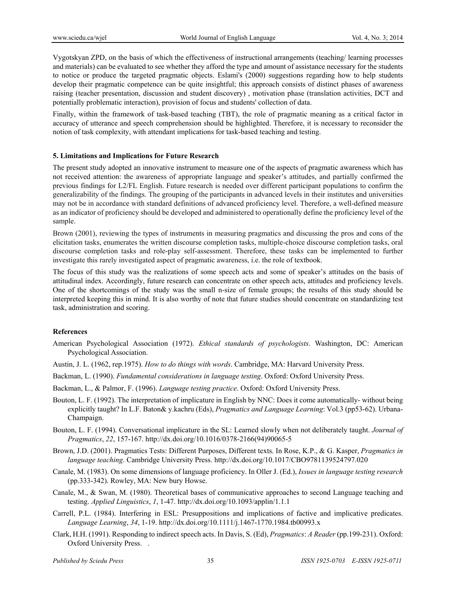Vygotskyan ZPD, on the basis of which the effectiveness of instructional arrangements (teaching/ learning processes and materials) can be evaluated to see whether they afford the type and amount of assistance necessary for the students to notice or produce the targeted pragmatic objects. Eslami's (2000) suggestions regarding how to help students develop their pragmatic competence can be quite insightful; this approach consists of distinct phases of awareness raising (teacher presentation, discussion and student discovery) , motivation phase (translation activities, DCT and potentially problematic interaction), provision of focus and students' collection of data.

Finally, within the framework of task-based teaching (TBT), the role of pragmatic meaning as a critical factor in accuracy of utterance and speech comprehension should be highlighted. Therefore, it is necessary to reconsider the notion of task complexity, with attendant implications for task-based teaching and testing.

## **5. Limitations and Implications for Future Research**

The present study adopted an innovative instrument to measure one of the aspects of pragmatic awareness which has not received attention: the awareness of appropriate language and speaker's attitudes, and partially confirmed the previous findings for L2/FL English. Future research is needed over different participant populations to confirm the generalizability of the findings. The grouping of the participants in advanced levels in their institutes and universities may not be in accordance with standard definitions of advanced proficiency level. Therefore, a well-defined measure as an indicator of proficiency should be developed and administered to operationally define the proficiency level of the sample.

Brown (2001), reviewing the types of instruments in measuring pragmatics and discussing the pros and cons of the elicitation tasks, enumerates the written discourse completion tasks, multiple-choice discourse completion tasks, oral discourse completion tasks and role-play self-assessment. Therefore, these tasks can be implemented to further investigate this rarely investigated aspect of pragmatic awareness, i.e. the role of textbook.

The focus of this study was the realizations of some speech acts and some of speaker's attitudes on the basis of attitudinal index. Accordingly, future research can concentrate on other speech acts, attitudes and proficiency levels. One of the shortcomings of the study was the small n-size of female groups; the results of this study should be interpreted keeping this in mind. It is also worthy of note that future studies should concentrate on standardizing test task, administration and scoring.

## **References**

- American Psychological Association (1972). *Ethical standards of psychologists*. Washington, DC: American Psychological Association.
- Austin, J. L. (1962, rep.1975). *How to do things with words*. Cambridge, MA: Harvard University Press.
- Backman, L. (1990). *Fundamental considerations in language testing*. Oxford: Oxford University Press.
- Backman, L., & Palmor, F. (1996). *Language testing practice*. Oxford: Oxford University Press.
- Bouton, L. F. (1992). The interpretation of implicature in English by NNC: Does it come automatically- without being explicitly taught? In L.F. Baton& y.kachru (Eds), *Pragmatics and Language Learning*: Vol.3 (pp53-62). Urbana-Champaign.
- Bouton, L. F. (1994). Conversational implicature in the SL: Learned slowly when not deliberately taught. *Journal of Pragmatics*, *22*, 157-167. http://dx.doi.org/10.1016/0378-2166(94)90065-5
- Brown, J.D. (2001). Pragmatics Tests: Different Purposes, Different texts. In Rose, K.P., & G. Kasper, *Pragmatics in language teaching*. Cambridge University Press. http://dx.doi.org/10.1017/CBO9781139524797.020
- Canale, M. (1983). On some dimensions of language proficiency. In Oller J. (Ed.), *Issues in language testing research* (pp.333-342). Rowley, MA: New bury Howse.
- Canale, M., & Swan, M. (1980). Theoretical bases of communicative approaches to second Language teaching and testing. *Applied Linguistics*, *1*, 1-47. http://dx.doi.org/10.1093/applin/1.1.1
- Carrell, P.L. (1984). Interfering in ESL: Presuppositions and implications of factive and implicative predicates. *Language Learning*, *34*, 1-19. http://dx.doi.org/10.1111/j.1467-1770.1984.tb00993.x
- Clark, H.H. (1991). Responding to indirect speech acts. In Davis, S. (Ed), *Pragmatics*: *A Reader* (pp.199-231). Oxford: Oxford University Press. .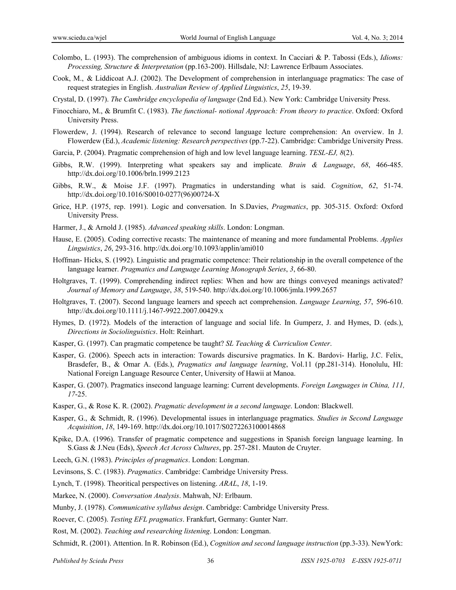- Colombo, L. (1993). The comprehension of ambiguous idioms in context. In Cacciari & P. Tabossi (Eds.), *Idioms: Processing, Structure & Interpretation* (pp.163-200). Hillsdale, NJ: Lawrence Erlbaum Associates.
- Cook, M., & Liddicoat A.J. (2002). The Development of comprehension in interlanguage pragmatics: The case of request strategies in English. *Australian Review of Applied Linguistics*, *25*, 19-39.
- Crystal, D. (1997). *The Cambridge encyclopedia of language* (2nd Ed.). New York: Cambridge University Press.
- Finocchiaro, M., & Brumfit C. (1983). *The functional- notional Approach: From theory to practice*. Oxford: Oxford University Press.
- Flowerdew, J. (1994). Research of relevance to second language lecture comprehension: An overview. In J. Flowerdew (Ed.), *Academic listening: Research perspectives* (pp.7-22). Cambridge: Cambridge University Press.
- Garcia, P. (2004). Pragmatic comprehension of high and low level language learning. *TESL-EJ, 8*(2).
- Gibbs, R.W. (1999). Interpreting what speakers say and implicate*. Brain & Language*, *68*, 466-485. http://dx.doi.org/10.1006/brln.1999.2123
- Gibbs, R.W., & Moise J.F. (1997). Pragmatics in understanding what is said. *Cognition*, *62*, 51-74. http://dx.doi.org/10.1016/S0010-0277(96)00724-X
- Grice, H.P. (1975, rep. 1991). Logic and conversation. In S.Davies, *Pragmatics*, pp. 305-315. Oxford: Oxford University Press.
- Harmer, J., & Arnold J. (1985). *Advanced speaking skills*. London: Longman.
- Hause, E. (2005). Coding corrective recasts: The maintenance of meaning and more fundamental Problems. *Applies Linguistics*, *26*, 293-316. http://dx.doi.org/10.1093/applin/ami010
- Hoffman- Hicks, S. (1992). Linguistic and pragmatic competence: Their relationship in the overall competence of the language learner. *Pragmatics and Language Learning Monograph Series*, *3*, 66-80.
- Holtgraves, T. (1999). Comprehending indirect replies: When and how are things conveyed meanings activated? *Journal of Memory and Language*, *38*, 519-540. http://dx.doi.org/10.1006/jmla.1999.2657
- Holtgraves, T. (2007). Second language learners and speech act comprehension. *Language Learning*, *57*, 596-610. http://dx.doi.org/10.1111/j.1467-9922.2007.00429.x
- Hymes, D. (1972). Models of the interaction of language and social life. In Gumperz, J. and Hymes, D. (eds.), *Directions in Sociolinguistics*. Holt: Reinhart.
- Kasper, G. (1997). Can pragmatic competence be taught? *SL Teaching & Curriculion Center*.
- Kasper, G. (2006). Speech acts in interaction: Towards discursive pragmatics. In K. Bardovi- Harlig, J.C. Felix, Brasdefer, B., & Omar A. (Eds.), *Pragmatics and language learning*, Vol.11 (pp.281-314). Honolulu, HI: National Foreign Language Resource Center, University of Hawii at Manoa.
- Kasper, G. (2007). Pragmatics insecond language learning: Current developments. *Foreign Languages in China, 111, 17*-25.
- Kasper, G., & Rose K. R. (2002). *Pragmatic development in a second language*. London: Blackwell.
- Kasper, G., & Schmidt, R. (1996). Developmental issues in interlanguage pragmatics. *Studies in Second Language Acquisition*, *18*, 149-169. http://dx.doi.org/10.1017/S0272263100014868
- Kpike, D.A. (1996). Transfer of pragmatic competence and suggestions in Spanish foreign language learning. In S.Gass & J.Neu (Eds), *Speech Act Across Cultures*, pp. 257-281. Mauton de Cruyter.
- Leech, G.N. (1983). *Principles of pragmatics*. London: Longman.

Levinsons, S. C. (1983). *Pragmatics*. Cambridge: Cambridge University Press.

- Lynch, T. (1998). Theoritical perspectives on listening. *ARAL*, *18*, 1-19.
- Markee, N. (2000). *Conversation Analysis*. Mahwah, NJ: Erlbaum.
- Munby, J. (1978). *Communicative syllabus design*. Cambridge: Cambridge University Press.
- Roever, C. (2005). *Testing EFL pragmatics*. Frankfurt, Germany: Gunter Narr.
- Rost, M. (2002). *Teaching and researching listening*. London: Longman.
- Schmidt, R. (2001). Attention. In R. Robinson (Ed.), *Cognition and second language instruction* (pp.3-33). NewYork: